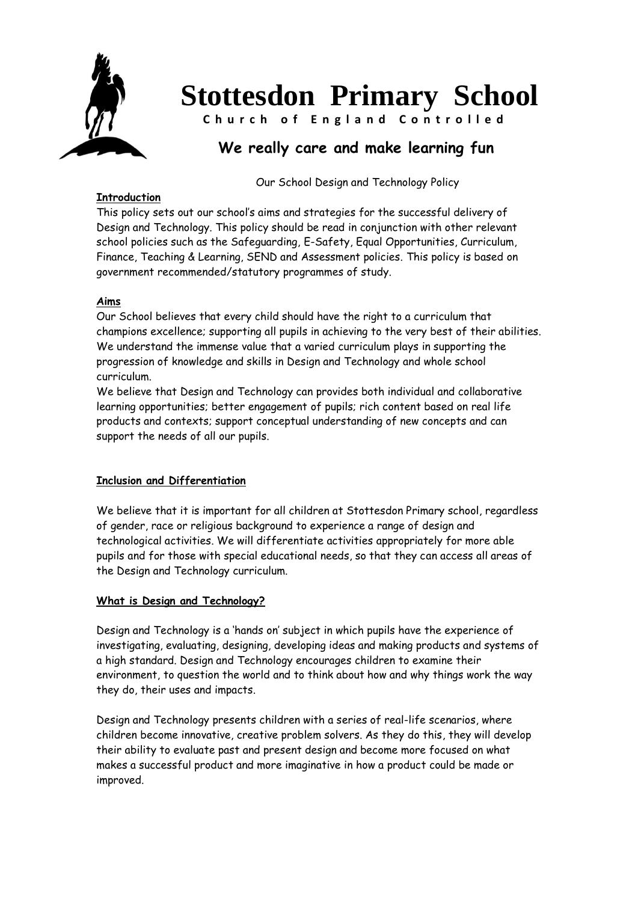

# **Stottesdon Primary School**

**C h u r c h o f E n g l a n d C o n t r o l l e d**

# **We really care and make learning fun**

Our School Design and Technology Policy

# **Introduction**

This policy sets out our school's aims and strategies for the successful delivery of Design and Technology. This policy should be read in conjunction with other relevant school policies such as the Safeguarding, E-Safety, Equal Opportunities, Curriculum, Finance, Teaching & Learning, SEND and Assessment policies. This policy is based on government recommended/statutory programmes of study.

# **Aims**

Our School believes that every child should have the right to a curriculum that champions excellence; supporting all pupils in achieving to the very best of their abilities. We understand the immense value that a varied curriculum plays in supporting the progression of knowledge and skills in Design and Technology and whole school curriculum.

We believe that Design and Technology can provides both individual and collaborative learning opportunities; better engagement of pupils; rich content based on real life products and contexts; support conceptual understanding of new concepts and can support the needs of all our pupils.

# **Inclusion and Differentiation**

We believe that it is important for all children at Stottesdon Primary school, regardless of gender, race or religious background to experience a range of design and technological activities. We will differentiate activities appropriately for more able pupils and for those with special educational needs, so that they can access all areas of the Design and Technology curriculum.

# **What is Design and Technology?**

Design and Technology is a 'hands on' subject in which pupils have the experience of investigating, evaluating, designing, developing ideas and making products and systems of a high standard. Design and Technology encourages children to examine their environment, to question the world and to think about how and why things work the way they do, their uses and impacts.

Design and Technology presents children with a series of real-life scenarios, where children become innovative, creative problem solvers. As they do this, they will develop their ability to evaluate past and present design and become more focused on what makes a successful product and more imaginative in how a product could be made or improved.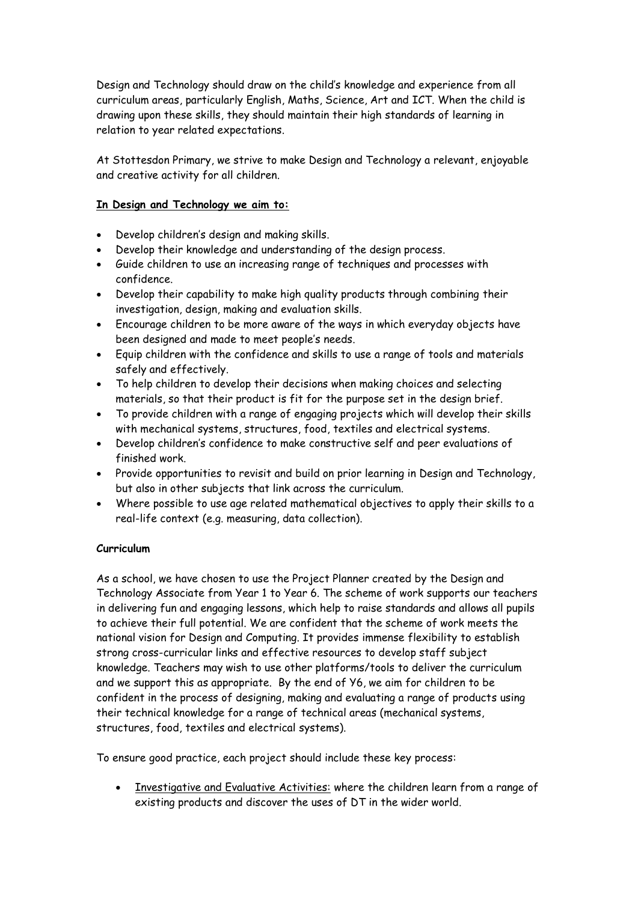Design and Technology should draw on the child's knowledge and experience from all curriculum areas, particularly English, Maths, Science, Art and ICT. When the child is drawing upon these skills, they should maintain their high standards of learning in relation to year related expectations.

At Stottesdon Primary, we strive to make Design and Technology a relevant, enjoyable and creative activity for all children.

#### **In Design and Technology we aim to:**

- Develop children's design and making skills.
- Develop their knowledge and understanding of the design process.
- Guide children to use an increasing range of techniques and processes with confidence.
- Develop their capability to make high quality products through combining their investigation, design, making and evaluation skills.
- Encourage children to be more aware of the ways in which everyday objects have been designed and made to meet people's needs.
- Equip children with the confidence and skills to use a range of tools and materials safely and effectively.
- To help children to develop their decisions when making choices and selecting materials, so that their product is fit for the purpose set in the design brief.
- To provide children with a range of engaging projects which will develop their skills with mechanical systems, structures, food, textiles and electrical systems.
- Develop children's confidence to make constructive self and peer evaluations of finished work.
- Provide opportunities to revisit and build on prior learning in Design and Technology, but also in other subjects that link across the curriculum.
- Where possible to use age related mathematical objectives to apply their skills to a real-life context (e.g. measuring, data collection).

#### **Curriculum**

As a school, we have chosen to use the Project Planner created by the Design and Technology Associate from Year 1 to Year 6. The scheme of work supports our teachers in delivering fun and engaging lessons, which help to raise standards and allows all pupils to achieve their full potential. We are confident that the scheme of work meets the national vision for Design and Computing. It provides immense flexibility to establish strong cross-curricular links and effective resources to develop staff subject knowledge. Teachers may wish to use other platforms/tools to deliver the curriculum and we support this as appropriate. By the end of Y6, we aim for children to be confident in the process of designing, making and evaluating a range of products using their technical knowledge for a range of technical areas (mechanical systems, structures, food, textiles and electrical systems).

To ensure good practice, each project should include these key process:

• Investigative and Evaluative Activities: where the children learn from a range of existing products and discover the uses of DT in the wider world.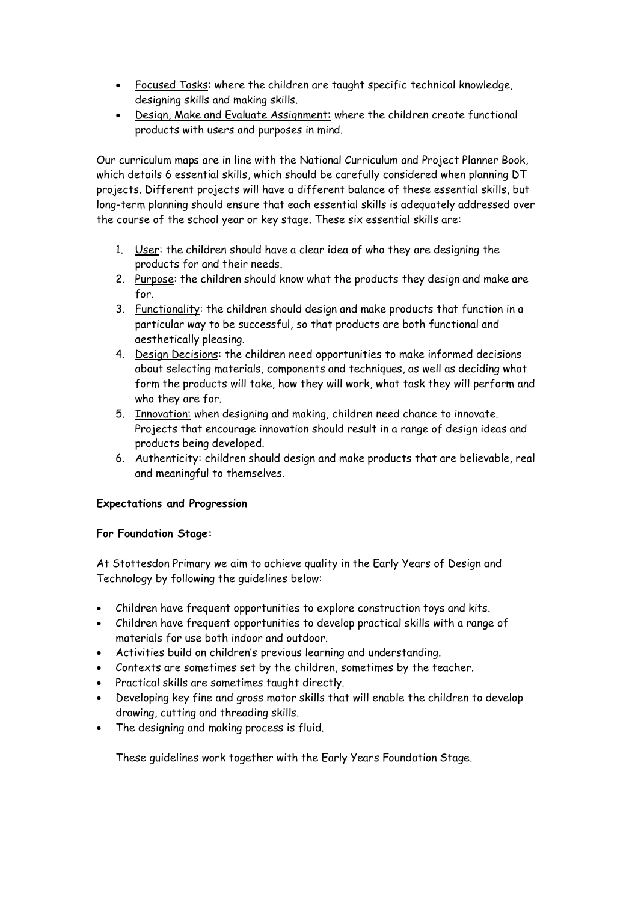- Focused Tasks: where the children are taught specific technical knowledge, designing skills and making skills.
- Design, Make and Evaluate Assignment: where the children create functional products with users and purposes in mind.

Our curriculum maps are in line with the National Curriculum and Project Planner Book, which details 6 essential skills, which should be carefully considered when planning DT projects. Different projects will have a different balance of these essential skills, but long-term planning should ensure that each essential skills is adequately addressed over the course of the school year or key stage. These six essential skills are:

- 1. User: the children should have a clear idea of who they are designing the products for and their needs.
- 2. Purpose: the children should know what the products they design and make are for.
- 3. Functionality: the children should design and make products that function in a particular way to be successful, so that products are both functional and aesthetically pleasing.
- 4. Design Decisions: the children need opportunities to make informed decisions about selecting materials, components and techniques, as well as deciding what form the products will take, how they will work, what task they will perform and who they are for.
- 5. Innovation: when designing and making, children need chance to innovate. Projects that encourage innovation should result in a range of design ideas and products being developed.
- 6. Authenticity: children should design and make products that are believable, real and meaningful to themselves.

#### **Expectations and Progression**

#### **For Foundation Stage:**

At Stottesdon Primary we aim to achieve quality in the Early Years of Design and Technology by following the guidelines below:

- Children have frequent opportunities to explore construction toys and kits.
- Children have frequent opportunities to develop practical skills with a range of materials for use both indoor and outdoor.
- Activities build on children's previous learning and understanding.
- Contexts are sometimes set by the children, sometimes by the teacher.
- Practical skills are sometimes taught directly.
- Developing key fine and gross motor skills that will enable the children to develop drawing, cutting and threading skills.
- The designing and making process is fluid.

These guidelines work together with the Early Years Foundation Stage.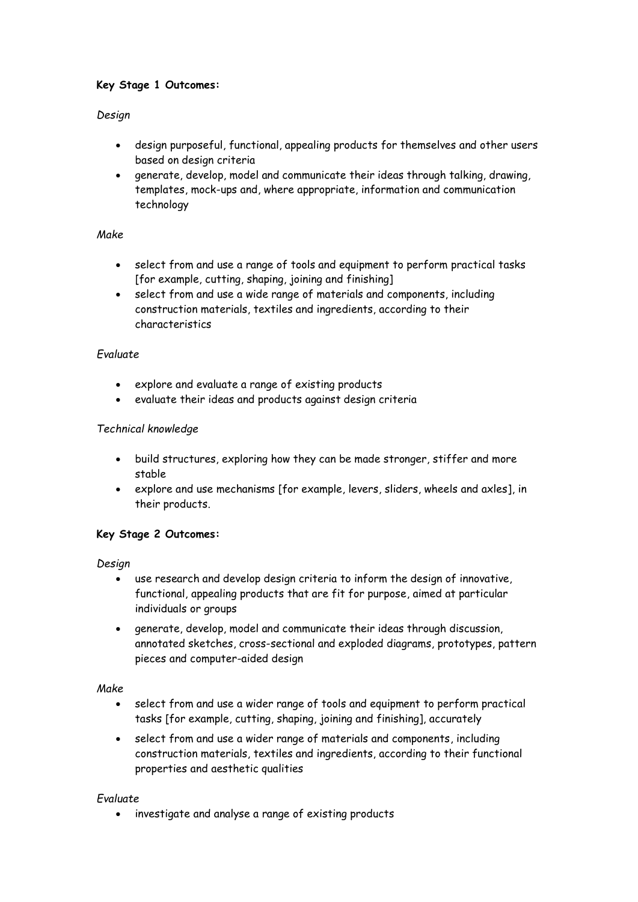# **Key Stage 1 Outcomes:**

#### *Design*

- design purposeful, functional, appealing products for themselves and other users based on design criteria
- generate, develop, model and communicate their ideas through talking, drawing, templates, mock-ups and, where appropriate, information and communication technology

#### *Make*

- select from and use a range of tools and equipment to perform practical tasks [for example, cutting, shaping, joining and finishing]
- select from and use a wide range of materials and components, including construction materials, textiles and ingredients, according to their characteristics

# *Evaluate*

- explore and evaluate a range of existing products
- evaluate their ideas and products against design criteria

# *Technical knowledge*

- build structures, exploring how they can be made stronger, stiffer and more stable
- explore and use mechanisms [for example, levers, sliders, wheels and axles], in their products.

# **Key Stage 2 Outcomes:**

*Design* 

- use research and develop design criteria to inform the design of innovative, functional, appealing products that are fit for purpose, aimed at particular individuals or groups
- generate, develop, model and communicate their ideas through discussion, annotated sketches, cross-sectional and exploded diagrams, prototypes, pattern pieces and computer-aided design

#### *Make*

- select from and use a wider range of tools and equipment to perform practical tasks [for example, cutting, shaping, joining and finishing], accurately
- select from and use a wider range of materials and components, including construction materials, textiles and ingredients, according to their functional properties and aesthetic qualities

#### *Evaluate*

• investigate and analyse a range of existing products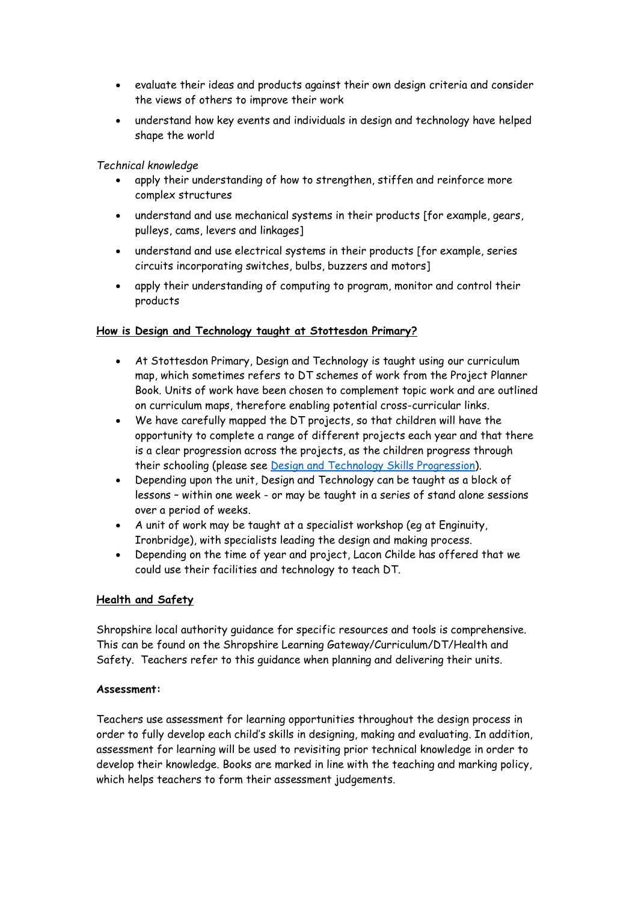- evaluate their ideas and products against their own design criteria and consider the views of others to improve their work
- understand how key events and individuals in design and technology have helped shape the world

#### *Technical knowledge*

- apply their understanding of how to strengthen, stiffen and reinforce more complex structures
- understand and use mechanical systems in their products [for example, gears, pulleys, cams, levers and linkages]
- understand and use electrical systems in their products [for example, series circuits incorporating switches, bulbs, buzzers and motors]
- apply their understanding of computing to program, monitor and control their products

#### **How is Design and Technology taught at Stottesdon Primary?**

- At Stottesdon Primary, Design and Technology is taught using our curriculum map, which sometimes refers to DT schemes of work from the Project Planner Book. Units of work have been chosen to complement topic work and are outlined on curriculum maps, therefore enabling potential cross-curricular links.
- We have carefully mapped the DT projects, so that children will have the opportunity to complete a range of different projects each year and that there is a clear progression across the projects, as the children progress through their schooling (please see [Design and Technology Skills Progression\)](Design%20and%20Technology%20Skills%20Progression%202020.docx).
- Depending upon the unit, Design and Technology can be taught as a block of lessons – within one week - or may be taught in a series of stand alone sessions over a period of weeks.
- A unit of work may be taught at a specialist workshop (eg at Enginuity, Ironbridge), with specialists leading the design and making process.
- Depending on the time of year and project, Lacon Childe has offered that we could use their facilities and technology to teach DT.

#### **Health and Safety**

Shropshire local authority guidance for specific resources and tools is comprehensive. This can be found on the Shropshire Learning Gateway/Curriculum/DT/Health and Safety. Teachers refer to this guidance when planning and delivering their units.

#### **Assessment:**

Teachers use assessment for learning opportunities throughout the design process in order to fully develop each child's skills in designing, making and evaluating. In addition, assessment for learning will be used to revisiting prior technical knowledge in order to develop their knowledge. Books are marked in line with the teaching and marking policy, which helps teachers to form their assessment judgements.